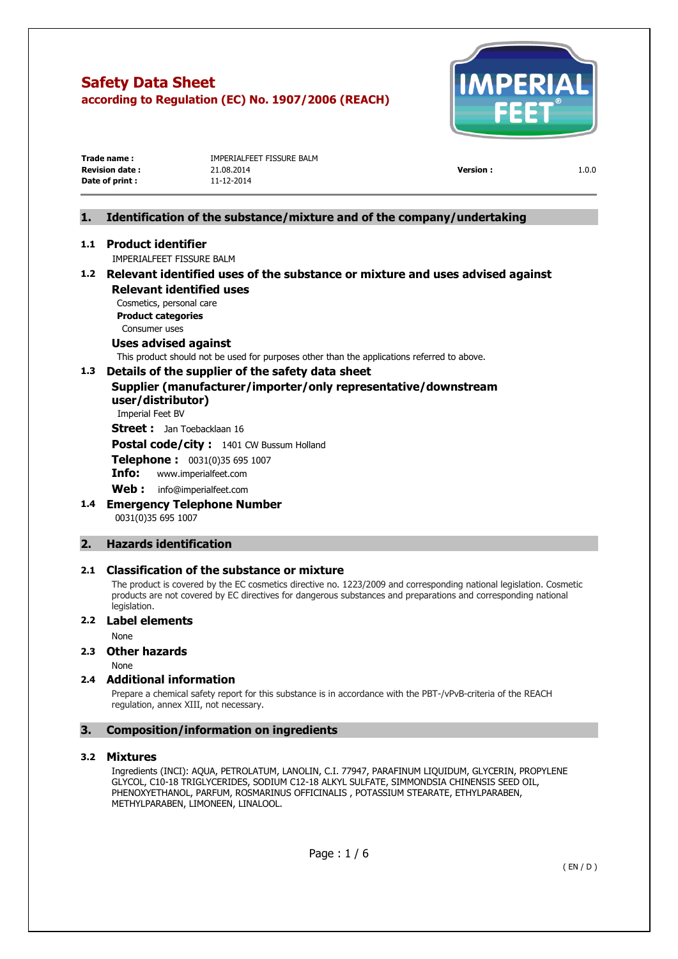

| Trade name :          | IMPERIALFEET FISSURE BALM |                 |       |
|-----------------------|---------------------------|-----------------|-------|
| <b>Revision date:</b> | 21.08.2014                | <b>Version:</b> | 1.0.0 |
| Date of print :       | 11-12-2014                |                 |       |
|                       |                           |                 |       |

# **1. Identification of the substance/mixture and of the company/undertaking**

# **1.1 Product identifier**

IMPERIALFEET FISSURE BALM

# **1.2 Relevant identified uses of the substance or mixture and uses advised against Relevant identified uses**

Cosmetics, personal care **Product categories**  Consumer uses

# **Uses advised against**

This product should not be used for purposes other than the applications referred to above.

# **1.3 Details of the supplier of the safety data sheet**

# **Supplier (manufacturer/importer/only representative/downstream user/distributor)**

Imperial Feet BV

**Street :** Jan Toebacklaan 16

**Postal code/city :** 1401 CW Bussum Holland

**Telephone :** 0031(0)35 695 1007

**Info:** [www.imperialfeet.com](http://www.imperialfeet.com/)

**Web :** info@imperialfeet.com

**1.4 Emergency Telephone Number**  0031(0)35 695 1007

# **2. Hazards identification**

### **2.1 Classification of the substance or mixture**

The product is covered by the EC cosmetics directive no. 1223/2009 and corresponding national legislation. Cosmetic products are not covered by EC directives for dangerous substances and preparations and corresponding national legislation.

### **2.2 Label elements**

None

# **2.3 Other hazards**

None

### **2.4 Additional information**

Prepare a chemical safety report for this substance is in accordance with the PBT-/vPvB-criteria of the REACH regulation, annex XIII, not necessary.

# **3. Composition/information on ingredients**

### **3.2 Mixtures**

Ingredients (INCI): AQUA, PETROLATUM, LANOLIN, C.I. 77947, PARAFINUM LIQUIDUM, GLYCERIN, PROPYLENE GLYCOL, C10-18 TRIGLYCERIDES, SODIUM C12-18 ALKYL SULFATE, SIMMONDSIA CHINENSIS SEED OIL, PHENOXYETHANOL, PARFUM, ROSMARINUS OFFICINALIS , POTASSIUM STEARATE, ETHYLPARABEN, METHYLPARABEN, LIMONEEN, LINALOOL.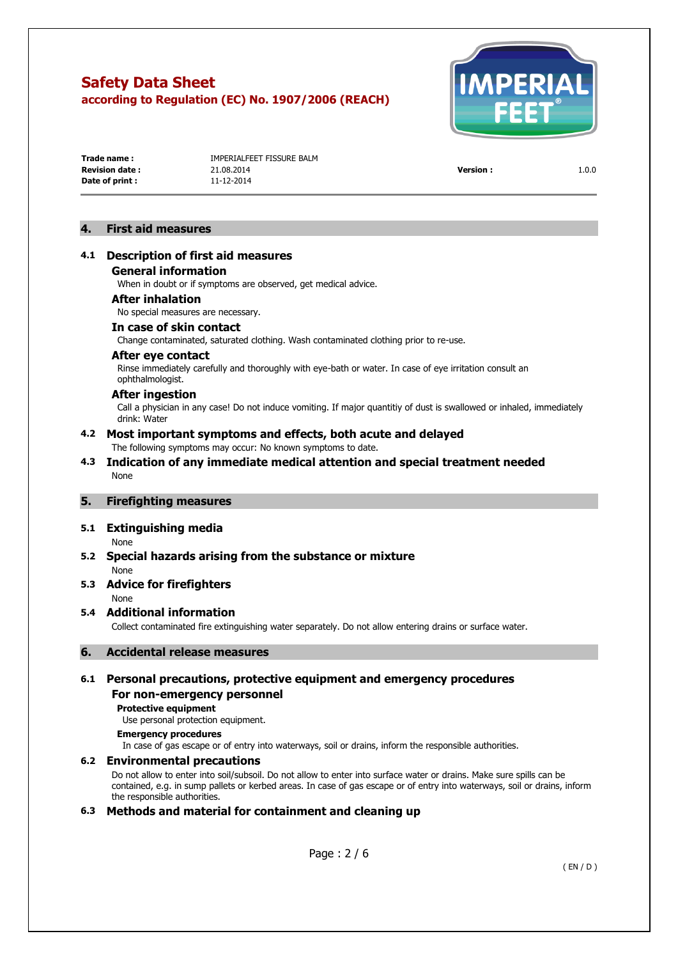

**Date of print :** 11-12-2014

**Trade name : IMPERIAL EFFT FISSURE BALM Revision date :** 21.08.2014 **Version :** 1.0.0

# **4. First aid measures**

# **4.1 Description of first aid measures**

**General information** 

When in doubt or if symptoms are observed, get medical advice.

#### **After inhalation**

No special measures are necessary.

### **In case of skin contact**

Change contaminated, saturated clothing. Wash contaminated clothing prior to re-use.

# **After eye contact**

Rinse immediately carefully and thoroughly with eye-bath or water. In case of eye irritation consult an ophthalmologist.

### **After ingestion**

Call a physician in any case! Do not induce vomiting. If major quantitiy of dust is swallowed or inhaled, immediately drink: Water

# **4.2 Most important symptoms and effects, both acute and delayed**

The following symptoms may occur: No known symptoms to date.

### **4.3 Indication of any immediate medical attention and special treatment needed**  None

### **5. Firefighting measures**

# **5.1 Extinguishing media**

None

# **5.2 Special hazards arising from the substance or mixture**

None **5.3 Advice for firefighters** 

### None

# **5.4 Additional information**

Collect contaminated fire extinguishing water separately. Do not allow entering drains or surface water.

# **6. Accidental release measures**

# **6.1 Personal precautions, protective equipment and emergency procedures**

# **For non-emergency personnel**

**Protective equipment**  Use personal protection equipment.

# **Emergency procedures**

In case of gas escape or of entry into waterways, soil or drains, inform the responsible authorities.

### **6.2 Environmental precautions**

Do not allow to enter into soil/subsoil. Do not allow to enter into surface water or drains. Make sure spills can be contained, e.g. in sump pallets or kerbed areas. In case of gas escape or of entry into waterways, soil or drains, inform the responsible authorities.

# **6.3 Methods and material for containment and cleaning up**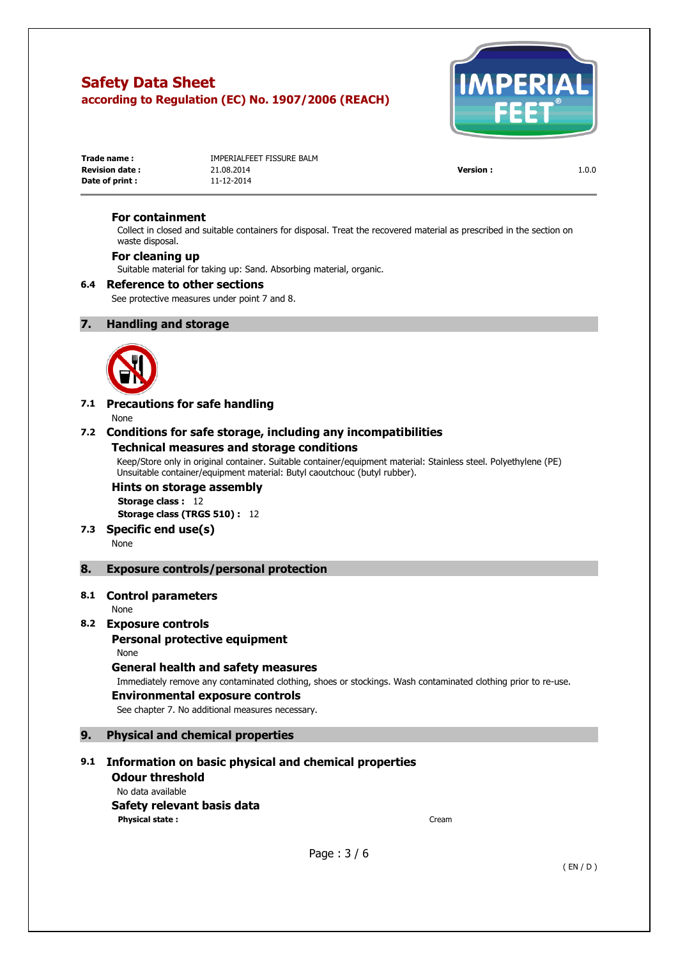

| Trade name:           | IMPERIALFEET FISSURE BALM |                 |       |
|-----------------------|---------------------------|-----------------|-------|
| <b>Revision date:</b> | 21.08.2014                | <b>Version:</b> | 1.0.0 |
| Date of print :       | 11-12-2014                |                 |       |

### **For containment**

Collect in closed and suitable containers for disposal. Treat the recovered material as prescribed in the section on waste disposal.

### **For cleaning up**

Suitable material for taking up: Sand. Absorbing material, organic.

#### **6.4 Reference to other sections**

See protective measures under point 7 and 8.

### **7. Handling and storage**



# **7.1 Precautions for safe handling**

None

### **7.2 Conditions for safe storage, including any incompatibilities**

### **Technical measures and storage conditions**

Keep/Store only in original container. Suitable container/equipment material: Stainless steel. Polyethylene (PE) Unsuitable container/equipment material: Butyl caoutchouc (butyl rubber).

#### **Hints on storage assembly Storage class :** 12

**Storage class (TRGS 510) :** 12

**7.3 Specific end use(s)** 

None

### **8. Exposure controls/personal protection**

### **8.1 Control parameters**

None

### **8.2 Exposure controls**

### **Personal protective equipment**

None

# **General health and safety measures**

Immediately remove any contaminated clothing, shoes or stockings. Wash contaminated clothing prior to re-use.

#### **Environmental exposure controls**

See chapter 7. No additional measures necessary.

## **9. Physical and chemical properties**

# **9.1 Information on basic physical and chemical properties**

**Odour threshold**  No data available **Safety relevant basis data Physical state :** Cream

Page : 3 / 6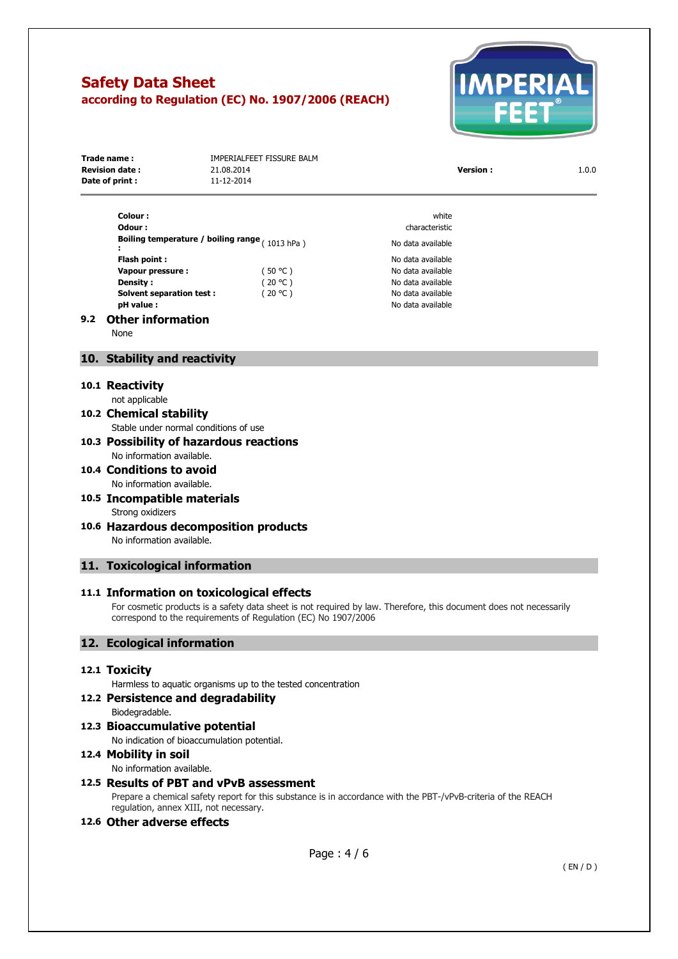

| Trade name:<br><b>Revision date:</b><br>Date of print :            | IMPERIALFEET FISSURE BALM<br>21.08.2014<br>11-12-2014 | <b>Version:</b>                           | 1.0.0 |
|--------------------------------------------------------------------|-------------------------------------------------------|-------------------------------------------|-------|
| Colour:                                                            |                                                       | white                                     |       |
| Odour:<br>Boiling temperature / boiling range $(1012 \text{ kpc})$ |                                                       | characteristic<br>المالمانين وبمسامر والا |       |

No data available

**Flash point :** No data available **Vapour pressure :**  $(50 °C)$  No data available **Density :**  $(20 °C)$  No data available **Solvent separation test :**  $(20 °C)$  No data available

**pH value :** No data available

#### **9.2 Other information**

None

**:** 

## **10. Stability and reactivity**

#### **10.1 Reactivity**

not applicable

# **10.2 Chemical stability**

Stable under normal conditions of use

#### **10.3 Possibility of hazardous reactions**  No information available.

**10.4 Conditions to avoid**  No information available.

# **10.5 Incompatible materials**  Strong oxidizers

**10.6 Hazardous decomposition products**  No information available.

### **11. Toxicological information**

#### **11.1 Information on toxicological effects**

For cosmetic products is a safety data sheet is not required by law. Therefore, this document does not necessarily correspond to the requirements of Regulation (EC) No 1907/2006

# **12. Ecological information**

### **12.1 Toxicity**

Harmless to aquatic organisms up to the tested concentration

### **12.2 Persistence and degradability**

- Biodegradable.
- **12.3 Bioaccumulative potential**

No indication of bioaccumulation potential.

# **12.4 Mobility in soil**

No information available.

# **12.5 Results of PBT and vPvB assessment**

Prepare a chemical safety report for this substance is in accordance with the PBT-/vPvB-criteria of the REACH regulation, annex XIII, not necessary.

#### **12.6 Other adverse effects**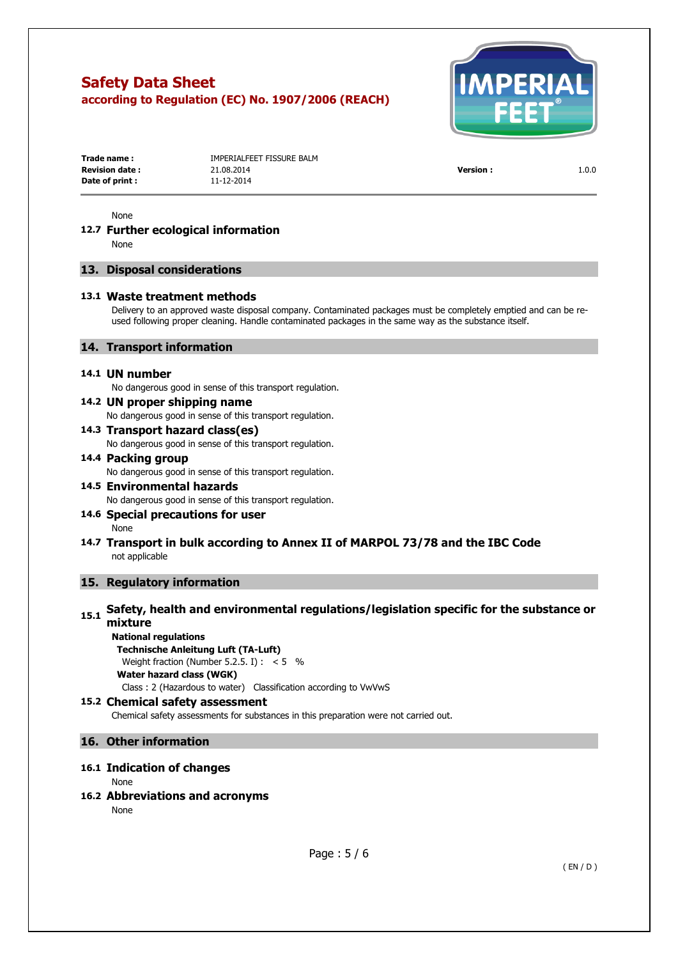

| Trade name:            | IMPERIALFEET FISSURE BALM |                 |       |
|------------------------|---------------------------|-----------------|-------|
| <b>Revision date :</b> | 21.08.2014                | <b>Version:</b> | 1.0.0 |
| Date of print :        | 11-12-2014                |                 |       |

None

#### **12.7 Further ecological information**  None

### **13. Disposal considerations**

#### **13.1 Waste treatment methods**

Delivery to an approved waste disposal company. Contaminated packages must be completely emptied and can be reused following proper cleaning. Handle contaminated packages in the same way as the substance itself.

# **14. Transport information**

#### **14.1 UN number**

No dangerous good in sense of this transport regulation.

#### **14.2 UN proper shipping name**

No dangerous good in sense of this transport regulation.

# **14.3 Transport hazard class(es)**

No dangerous good in sense of this transport regulation.

# **14.4 Packing group**

No dangerous good in sense of this transport regulation.

**14.5 Environmental hazards**  No dangerous good in sense of this transport regulation.

# **14.6 Special precautions for user**

None

# **14.7 Transport in bulk according to Annex II of MARPOL 73/78 and the IBC Code**  not applicable

# **15. Regulatory information**

# **15.1** Safety, health and environmental regulations/legislation specific for the substance or **mixture**

# **National regulations**

**Technische Anleitung Luft (TA-Luft)**  Weight fraction (Number 5.2.5. I) :  $< 5$  % **Water hazard class (WGK)** 

Class : 2 (Hazardous to water) Classification according to VwVwS

### **15.2 Chemical safety assessment**

Chemical safety assessments for substances in this preparation were not carried out.

# **16. Other information**

# **16.1 Indication of changes**

None

### **16.2 Abbreviations and acronyms**

None